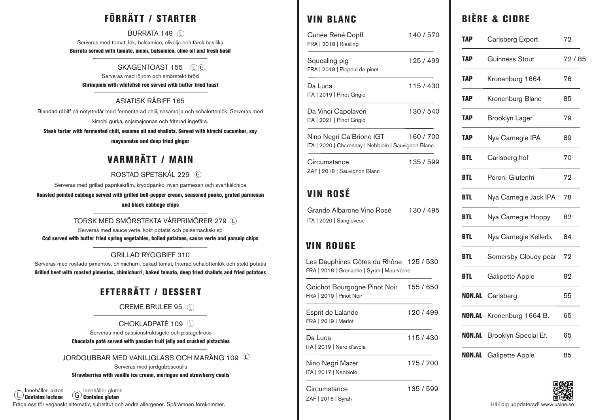# FÖRRÄTT / STARTER

BURRATA 149 (L) Serveras med tomat, lök, balsamico, olivolja och färsk basilika Burrata served with tomato, onion, balsamico, olive oil and fresh basil

#### SKAGENTOAST 155 (DG)

Serveras med löjrom och smörstekt bröd Shrimpmix with whitefish roe served with butter fried toast

#### ASIATISK RÅBIFF 165

Blandad råbiff på nötytterlår med fermenterad chili, sesamolja och schalottenlök. Serveras med kimchi gurka, sojamajonnäs och friterad ingefära.

Steak tartar with fermented chili, sesame oil and shallots. Served with kimchi cucumber, soy

#### mayonnaise and deep fried ginger

## VARMRÄTT / MAIN

## ROSTAD SPETSKÅL 229

Serveras med grillad paprikakräm, kryddpanko, riven parmesan och svartkålchips

Roasted pointed cabbage served with grilled bell-pepper cream, seasoned panko, grated parmesan and black cabbage chips

## TORSK MED SMÖRSTEKTA VÅRPRIMÖRER 279

Serveras med sauce verte, kokt potatis och palsernackskrisp Cod served with butter fried spring vegetables, boiled potatoes, sauce verte and parsnip chips

#### GRILLAD RYGGBIFF 310

Serveras med rostade pimentos, chimichurri, bakad tomat, friterad schalottenlök och stekt potatis Grilled beef with roasted pimentos, chimichurri, baked tomato, deep fried shallots and fried potatoes

# EFTERRÄTT / DESSERT

## CREME BRULEE 95

## CHOKLADPATÉ 109

Serveras med passionsfruktsgelé och pistagekross

#### Chocolate paté served with passion fruit jelly and crushed pistachios

#### JORDGUBBAR MED VANILJGLASS OCH MARÄNG 109

Serveras med jordgubbscoulis

#### Strawberries with vanilla ice cream, meringue and strawberry coulis

Fråga oss för veganskt alternativ, substitut och andra allergener. Spårämnen förekommer. Innehåller laktos  $\left(\mathsf{L}\right)$  Contains lactose Innehåller gluten G **Contains gluten** 

## VIN BLANC

| Cunée René Dopff<br>FRA   2018   Riesling                                           | 140/570   |
|-------------------------------------------------------------------------------------|-----------|
| Squealing pig<br>FRA   2018   Picpoul de pinet                                      | 125 / 499 |
| Da Luca<br>ITA   2019   Pinot Grigio                                                | 115/430   |
| Da Vinci Capolavori<br>ITA   2021   Pinot Grigio                                    | 130 / 540 |
| Nino Negri Ca'Brione IGT<br>ITA   2020   Charonnay   Nebbiolo   Sauvignon Blanc     | 160 / 700 |
| Circumstance<br>ZAF   2018   Sauvignon Blanc                                        | 135 / 599 |
| VIN ROSÉ                                                                            |           |
| Grande Albarone Vino Rosé<br>ITA   2020   Sangiovese                                | 130 / 495 |
| VIN ROUGE                                                                           |           |
| Les Dauphines Côtes du Rhône 125 / 530<br>FRA   2018   Grenache   Syrah   Mourvédre |           |
| Goichot Bourgogne Pinot Noir<br>FRA   2019   Pinot Noir                             | 155 / 650 |
| Esprit de Lalande<br>FRA   2019   Merlot                                            | 120 / 499 |
| Da Luca<br>ITA   2019   Nero d'avola                                                | 115 / 430 |
| Nino Negri Mazer<br>ITA   2017   Nebbiolo                                           | 175 / 700 |
| Circumstance<br>ZAF   2016   Syrah                                                  | 135 / 599 |

## BIÈRE & CIDRE

| TAP    | Carlsberg Export       | 72    |
|--------|------------------------|-------|
| TAP    | Guinness Stout         | 72/85 |
| TAP    | Kronenburg 1664        | 76    |
| TAP    | Kronenburg Blanc       | 85    |
| TAP    | <b>Brooklyn Lager</b>  | 79    |
| TAP    | Nya Carnegie IPA       | 89    |
| BTL    | Carlsberg hof          | 70    |
| BTL    | Peroni Glutenfri       | 72    |
| BTL    | Nya Carnegie Jack IPA  | 78    |
| BTL    | Nya Carnegie Hoppy     | 82    |
| BTL    | Nya Carnegie Kellerb.  | 84    |
| BTL    | Somersby Cloudy pear   | 72    |
| BTL    | Galipette Apple        | 82    |
| NON.AL | Carlsberg              | 55    |
| NON.AL | Kronenburg 1664 B.     | 65    |
| NON.AL | Brooklyn Special Ef.   | 65    |
| NON.AL | <b>Galipette Apple</b> | 85    |



Håll dig uppdaterad! www.usine.se